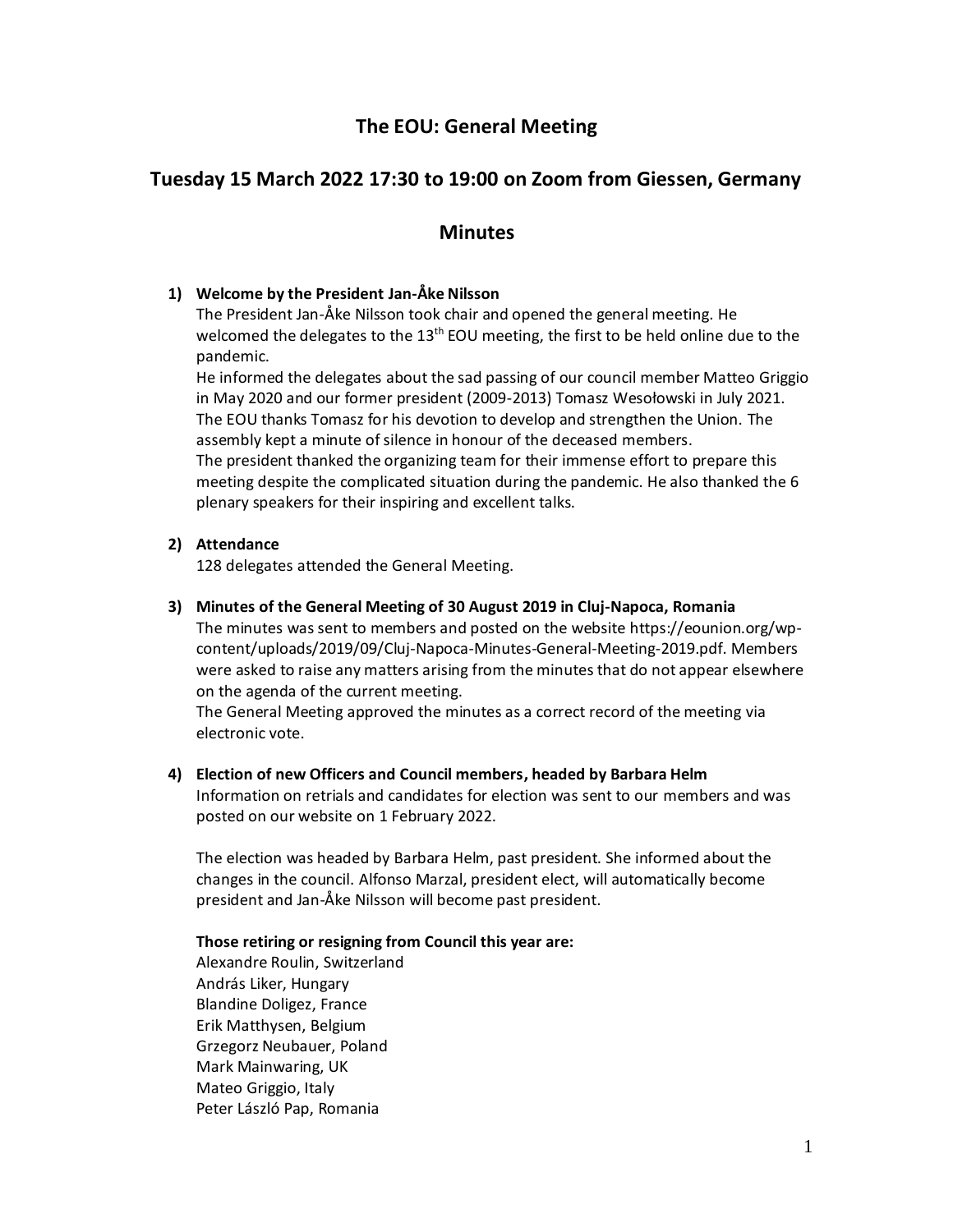# **The EOU: General Meeting**

# **Tuesday 15 March 2022 17:30 to 19:00 on Zoom from Giessen, Germany**

# **Minutes**

# **1) Welcome by the President Jan-Åke Nilsson**

The President Jan-Åke Nilsson took chair and opened the general meeting. He welcomed the delegates to the 13<sup>th</sup> EOU meeting, the first to be held online due to the pandemic.

He informed the delegates about the sad passing of our council member Matteo Griggio in May 2020 and our former president (2009-2013) Tomasz Wesołowski in July 2021. The EOU thanks Tomasz for his devotion to develop and strengthen the Union. The assembly kept a minute of silence in honour of the deceased members. The president thanked the organizing team for their immense effort to prepare this meeting despite the complicated situation during the pandemic. He also thanked the 6 plenary speakers for their inspiring and excellent talks.

# **2) Attendance**

128 delegates attended the General Meeting.

## **3) Minutes of the General Meeting of 30 August 2019 in Cluj-Napoca, Romania**

The minutes was sent to members and posted on the website https://eounion.org/wpcontent/uploads/2019/09/Cluj-Napoca-Minutes-General-Meeting-2019.pdf. Members were asked to raise any matters arising from the minutes that do not appear elsewhere on the agenda of the current meeting.

The General Meeting approved the minutes as a correct record of the meeting via electronic vote.

**4) Election of new Officers and Council members, headed by Barbara Helm** Information on retrials and candidates for election was sent to our members and was posted on our website on 1 February 2022.

The election was headed by Barbara Helm, past president. She informed about the changes in the council. Alfonso Marzal, president elect, will automatically become president and Jan-Åke Nilsson will become past president.

### **Those retiring or resigning from Council this year are:**

Alexandre Roulin, Switzerland András Liker, Hungary Blandine Doligez, France Erik Matthysen, Belgium Grzegorz Neubauer, Poland Mark Mainwaring, UK Mateo Griggio, Italy Peter László Pap, Romania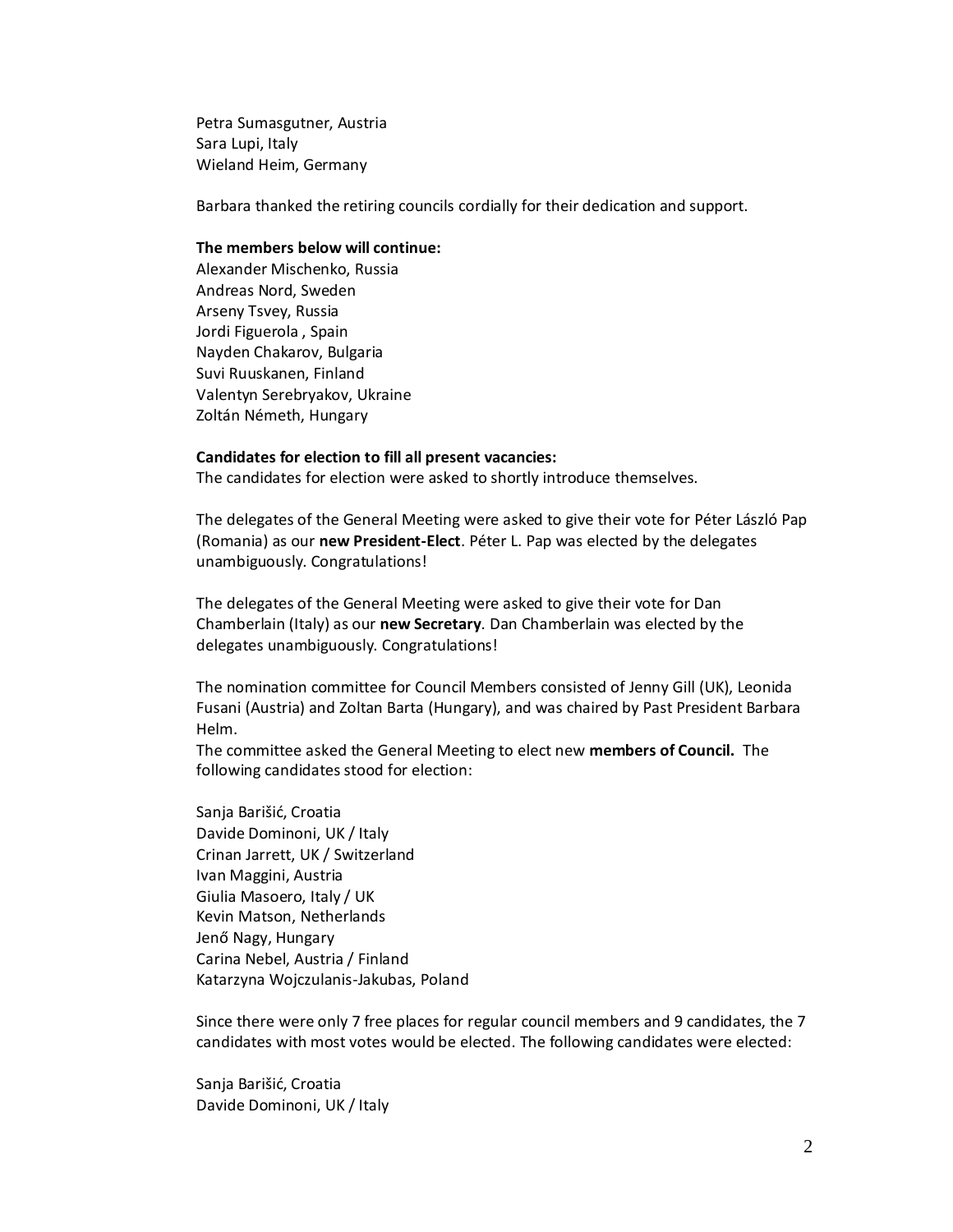Petra Sumasgutner, Austria Sara Lupi, Italy Wieland Heim, Germany

Barbara thanked the retiring councils cordially for their dedication and support.

## **The members below will continue:**

Alexander Mischenko, Russia Andreas Nord, Sweden Arseny Tsvey, Russia Jordi Figuerola , Spain Nayden Chakarov, Bulgaria Suvi Ruuskanen, Finland Valentyn Serebryakov, Ukraine Zoltán Németh, Hungary

#### **Candidates for election to fill all present vacancies:**

The candidates for election were asked to shortly introduce themselves.

The delegates of the General Meeting were asked to give their vote for Péter László Pap (Romania) as our **new President-Elect**. Péter L. Pap was elected by the delegates unambiguously. Congratulations!

The delegates of the General Meeting were asked to give their vote for Dan Chamberlain (Italy) as our **new Secretary**. Dan Chamberlain was elected by the delegates unambiguously. Congratulations!

The nomination committee for Council Members consisted of Jenny Gill (UK), Leonida Fusani (Austria) and Zoltan Barta (Hungary), and was chaired by Past President Barbara Helm.

The committee asked the General Meeting to elect new **members of Council.** The following candidates stood for election:

Sanja Barišić, Croatia Davide Dominoni, UK / Italy Crinan Jarrett, UK / Switzerland Ivan Maggini, Austria Giulia Masoero, Italy / UK Kevin Matson, Netherlands Jenő Nagy, Hungary Carina Nebel, Austria / Finland Katarzyna Wojczulanis-Jakubas, Poland

Since there were only 7 free places for regular council members and 9 candidates, the 7 candidates with most votes would be elected. The following candidates were elected:

Sanja Barišić, Croatia Davide Dominoni, UK / Italy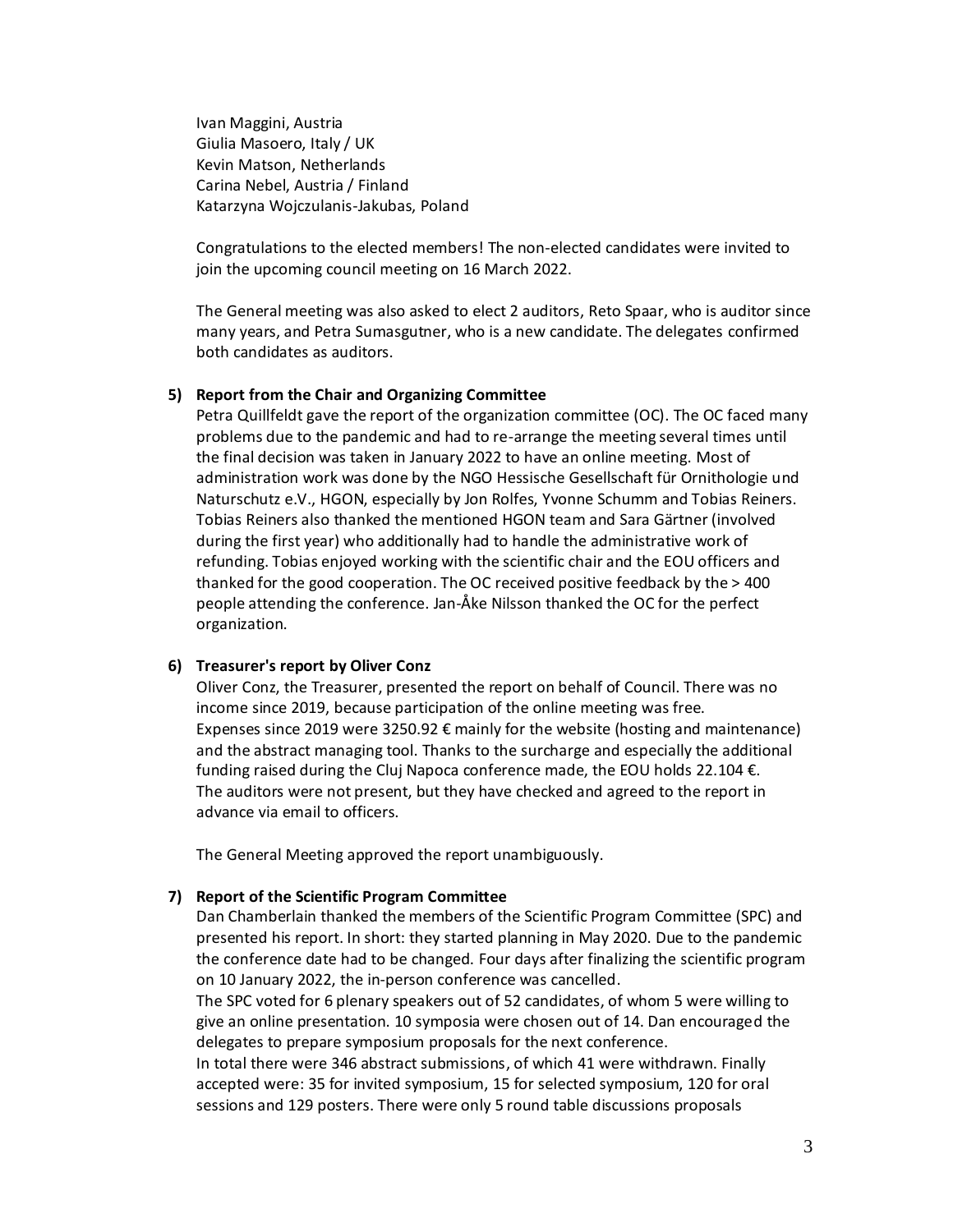Ivan Maggini, Austria Giulia Masoero, Italy / UK Kevin Matson, Netherlands Carina Nebel, Austria / Finland Katarzyna Wojczulanis-Jakubas, Poland

Congratulations to the elected members! The non-elected candidates were invited to join the upcoming council meeting on 16 March 2022.

The General meeting was also asked to elect 2 auditors, Reto Spaar, who is auditor since many years, and Petra Sumasgutner, who is a new candidate. The delegates confirmed both candidates as auditors.

## **5) Report from the Chair and Organizing Committee**

Petra Quillfeldt gave the report of the organization committee (OC). The OC faced many problems due to the pandemic and had to re-arrange the meeting several times until the final decision was taken in January 2022 to have an online meeting. Most of administration work was done by the NGO Hessische Gesellschaft für Ornithologie und Naturschutz e.V., HGON, especially by Jon Rolfes, Yvonne Schumm and Tobias Reiners. Tobias Reiners also thanked the mentioned HGON team and Sara Gärtner (involved during the first year) who additionally had to handle the administrative work of refunding. Tobias enjoyed working with the scientific chair and the EOU officers and thanked for the good cooperation. The OC received positive feedback by the > 400 people attending the conference. Jan-Åke Nilsson thanked the OC for the perfect organization.

## **6) Treasurer's report by Oliver Conz**

Oliver Conz, the Treasurer, presented the report on behalf of Council. There was no income since 2019, because participation of the online meeting was free. Expenses since 2019 were 3250.92  $\epsilon$  mainly for the website (hosting and maintenance) and the abstract managing tool. Thanks to the surcharge and especially the additional funding raised during the Cluj Napoca conference made, the EOU holds 22.104 €. The auditors were not present, but they have checked and agreed to the report in advance via email to officers.

The General Meeting approved the report unambiguously.

### **7) Report of the Scientific Program Committee**

Dan Chamberlain thanked the members of the Scientific Program Committee (SPC) and presented his report. In short: they started planning in May 2020. Due to the pandemic the conference date had to be changed. Four days after finalizing the scientific program on 10 January 2022, the in-person conference was cancelled.

The SPC voted for 6 plenary speakers out of 52 candidates, of whom 5 were willing to give an online presentation. 10 symposia were chosen out of 14. Dan encouraged the delegates to prepare symposium proposals for the next conference.

In total there were 346 abstract submissions, of which 41 were withdrawn. Finally accepted were: 35 for invited symposium, 15 for selected symposium, 120 for oral sessions and 129 posters. There were only 5 round table discussions proposals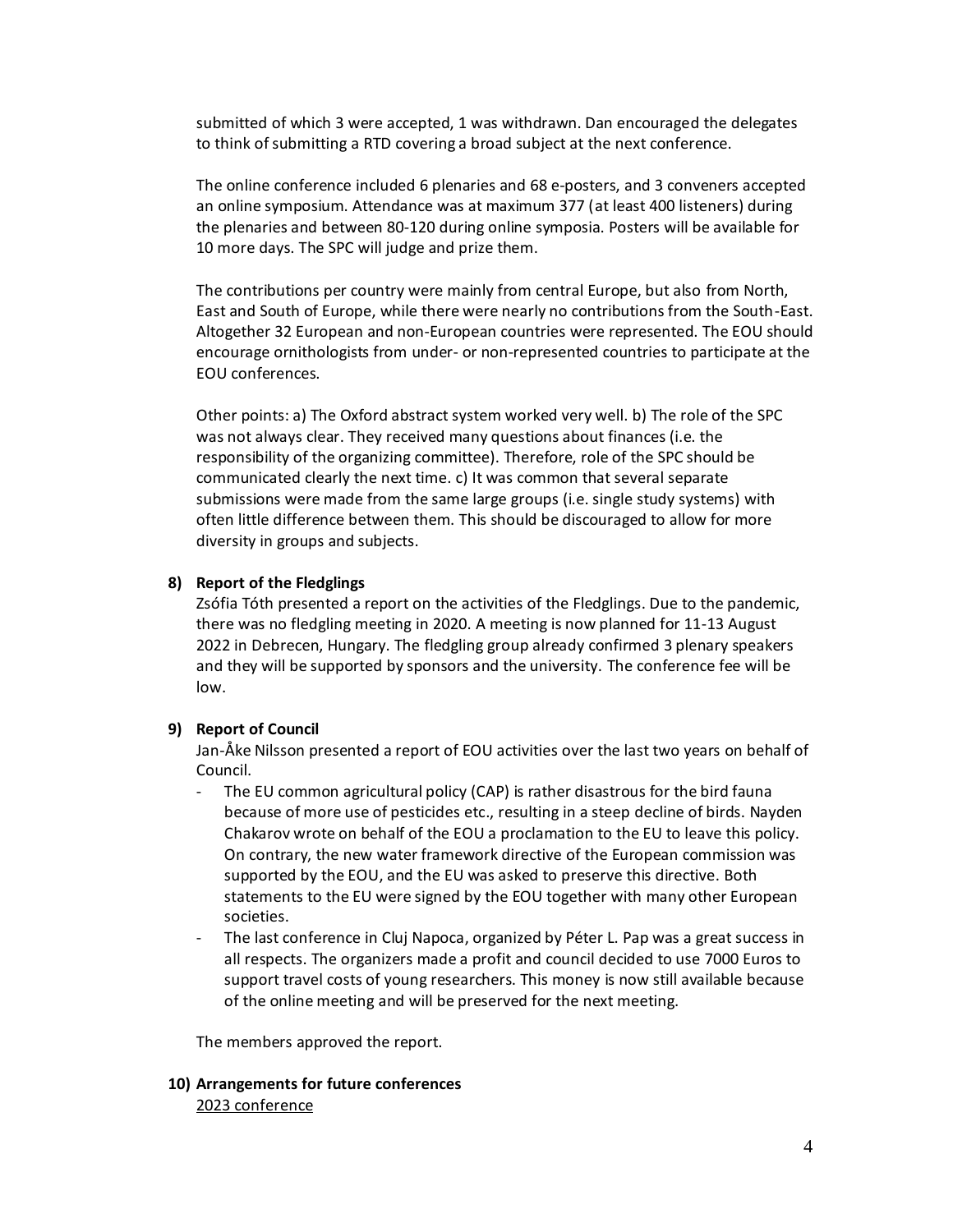submitted of which 3 were accepted, 1 was withdrawn. Dan encouraged the delegates to think of submitting a RTD covering a broad subject at the next conference.

The online conference included 6 plenaries and 68 e-posters, and 3 conveners accepted an online symposium. Attendance was at maximum 377 (at least 400 listeners) during the plenaries and between 80-120 during online symposia. Posters will be available for 10 more days. The SPC will judge and prize them.

The contributions per country were mainly from central Europe, but also from North, East and South of Europe, while there were nearly no contributions from the South-East. Altogether 32 European and non-European countries were represented. The EOU should encourage ornithologists from under- or non-represented countries to participate at the EOU conferences.

Other points: a) The Oxford abstract system worked very well. b) The role of the SPC was not always clear. They received many questions about finances (i.e. the responsibility of the organizing committee). Therefore, role of the SPC should be communicated clearly the next time. c) It was common that several separate submissions were made from the same large groups (i.e. single study systems) with often little difference between them. This should be discouraged to allow for more diversity in groups and subjects.

## **8) Report of the Fledglings**

Zsófia Tóth presented a report on the activities of the Fledglings. Due to the pandemic, there was no fledgling meeting in 2020. A meeting is now planned for 11-13 August 2022 in Debrecen, Hungary. The fledgling group already confirmed 3 plenary speakers and they will be supported by sponsors and the university. The conference fee will be low.

## **9) Report of Council**

Jan-Åke Nilsson presented a report of EOU activities over the last two years on behalf of Council.

- The EU common agricultural policy (CAP) is rather disastrous for the bird fauna because of more use of pesticides etc., resulting in a steep decline of birds. Nayden Chakarov wrote on behalf of the EOU a proclamation to the EU to leave this policy. On contrary, the new water framework directive of the European commission was supported by the EOU, and the EU was asked to preserve this directive. Both statements to the EU were signed by the EOU together with many other European societies.
- The last conference in Cluj Napoca, organized by Péter L. Pap was a great success in all respects. The organizers made a profit and council decided to use 7000 Euros to support travel costs of young researchers. This money is now still available because of the online meeting and will be preserved for the next meeting.

The members approved the report.

**10) Arrangements for future conferences** 2023 conference